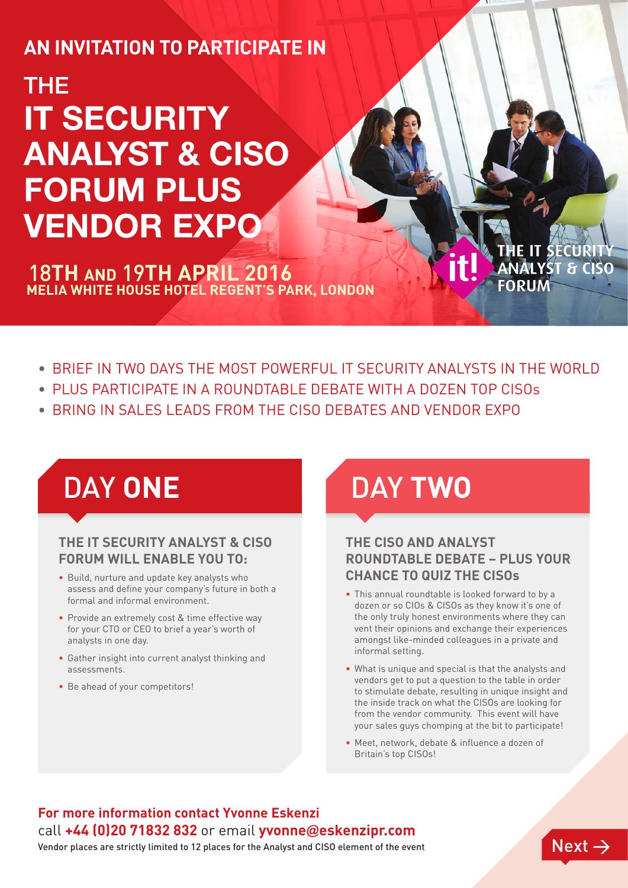## **An invitation to participate in**

# THE **IT SECURITY ANALYST & CISO FORUM PLUS VENDOR EXPO**

**Melia White House Hotel Regent's Park, London** 18**th and** 19**th april 2016** 

**ST & CISC** 

- BRIEF IN TWO DAYS THE MOST POWERFUL IT SECURITY ANALYSTS IN THE WORLD
- PLUS PARTICIPATE IN A ROUNDTABLE DEBATE WITH A DOZEN TOP CISOs
- Bring in sales leads from the CISO Debates and Vendor Expo

#### **THE IT SECURITY ANALYST & CISO FORUM WILL ENABLE YOU TO:**

- Build, nurture and update key analysts who assess and define your company's future in both a formal and informal environment.
- Provide an extremely cost & time effective way for your CTO or CEO to brief a year's worth of analysts in one day.
- Gather insight into current analyst thinking and assessments.
- Be ahead of your competitors!

# DAY **ONE** DAY **TWO**

#### **THE CISO AND ANALYST ROUNDTA BLE DEBATE – PLUS YOUR CHANCE TO QUIZ THE CISOs**

- This annual roundtable is looked forward to by a dozen or so CIOs & CISOs as they know it's one of the only truly honest environments where they can vent their opinions and exchange their experiences amongst like-minded colleagues in a private and informal setting.
- What is unique and special is that the analysts and vendors get to put a question to the table in order to stimulate debate, resulting in unique insight and the inside track on what the CISOs are looking for from the vendor community. This event will have your sales guys chomping at the bit to participate!
- Meet, network, debate & influence a dozen of Britain's top CISOs!

## **For more information contact Yvonne Eskenzi** call **+44 (0)20 71832 832** or email **yvonne**@**eskenzipr.com**

Vendor places are strictly limited to 12 places for the Analyst and CISO element of the event  $\sqrt{N\epsilon_N t} \to$